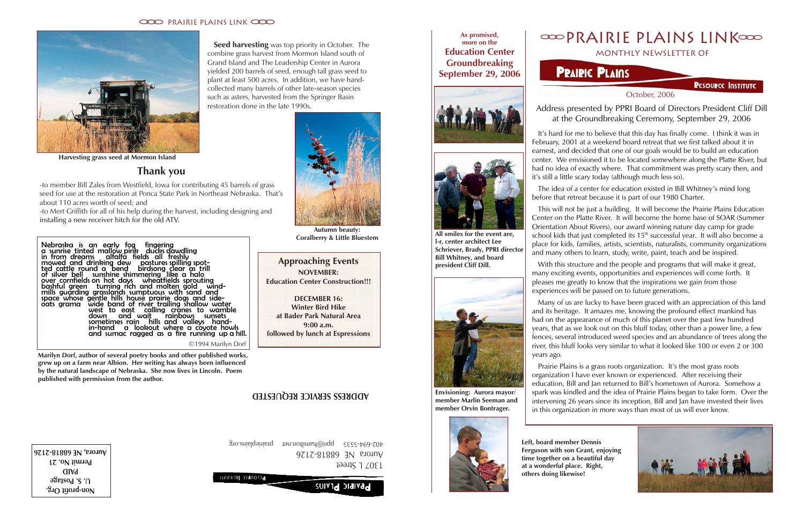## **OOOPRAIRIE PLAINS LINKOOO** monthly newsletter of

# **PRAIRIC PLAINS**

**PESOUPCE INSTITUTE** 

October, 2006



**As promised, more on the Education Center Groundbreaking September 29, 2006**



**All smiles for the event are, l-r, center architect Lee**

**Schriever, Brady, PPRI director Bill Whitney, and board president Cliff Dill.**

**Envisioning: Aurora mayor/ member Marlin Seeman and member Orvin Bontrager.**



**Left, board member Dennis Ferguson with son Grant, enjoying time together on a beautiful day at a wonderful place. Right, others doing likewise!**

 It's hard for me to believe that this day has finally come. I think it was in February, 2001 at a weekend board retreat that we first talked about it in earnest, and decided that one of our goals would be to build an education center. We envisioned it to be located somewhere along the Platte River, but had no idea of exactly where. That commitment was pretty scary then, and it's still a little scary today (although much less so).

 The idea of a center for education existed in Bill Whitney's mind long before that retreat because it is part of our 1980 Charter.

 This will not be just a building. It will become the Prairie Plains Education Center on the Platte River. It will become the home base of SOAR (Summer Orientation About Rivers), our award winning nature day camp for grade school kids that just completed its 15<sup>th</sup> successful year. It will also become a place for kids, families, artists, scientists, naturalists, community organizations and many others to learn, study, write, paint, teach and be inspired.

 With this structure and the people and programs that will make it great, many exciting events, opportunities and experiences will come forth. It pleases me greatly to know that the inspirations we gain from those experiences will be passed on to future generations.

**Seed harvesting** was top priority in October. The combine grass harvest from Mormon Island south of Grand Island and The Leadership Center in Aurora yielded 200 barrels of seed, enough tall grass seed to plant at least 500 acres. In addition, we have handcollected many barrels of other late-season species such as asters, harvested from the Springer Basin restoration done in the late 1990s.

> Many of us are lucky to have been graced with an appreciation of this land and its heritage. It amazes me, knowing the profound effect mankind has had on the appearance of much of this planet over the past few hundred years, that as we look out on this bluff today, other than a power line, a few fences, several introduced weed species and an abundance of trees along the river, this bluff looks very similar to what it looked like 100 or even 2 or 300 years ago.

**Example 21 Approaching Events** 12345678901234567890123456789012123456789012345678901234 **NOVEMBER:** /////////////////// 12345678901234567890123456789012123456789012345678901234 **Education Center Construction!!!** 12345678901234567890123456789012123456789012345678901234

> Prairie Plains is a grass roots organization. It's the most grass roots organization I have ever known or experienced. After receiving their education, Bill and Jan returned to Bill's hometown of Aurora. Somehow a spark was kindled and the idea of Prairie Plains began to take form. Over the intervening 26 years since its inception, Bill and Jan have invested their lives in this organization in more ways than most of us will ever know.

Address presented by PPRI Board of Directors President Cliff Dill at the Groundbreaking Ceremony, September 29, 2006

**Non-profit Org. U. S. Postage PAID Permit No. 21 Aurora, NE 68818-2126**

**PRAIRIC PLAINS** 

1307 L Street Aurora NE 68818-2126 402-694-5535 ppri@hamilton.net prairieplains.org

## **ADDRESS SERVICE REQUESTED**

### **CCCO** PRAIRIE PLAINS LINK CCCO



**Thank you**

-to member Bill Zales from Westfield, Iowa for contributing 45 barrels of grass seed for use at the restoration at Ponca State Park in Northeast Nebraska. That's

about 110 acres worth of seed; and

-to Mert Griffith for all of his help during the harvest, including designing and

installing a new receiver hitch for the old ATV.

12345678901234567890123456789012123456789012345678901234 12345678901234567890123456789012123456789012345678901234

12345678901234567890123456789012123456789012345678901234 12345678901234567890123456789012123456789012345678901234 12345678901234567890123456789012123456789012345678901234

12345678901234567890123456789012123456789012345678901234 **DECEMBER 16:** 12345678901234567890123456789012123456789012345678901234 **Winter Bird Hike** 12345678901234567890123456789012123456789012345678901234 **at Bader Park Natural Area** 12345678901234567890123456789012123456789012345678901234 **9:00 a.m.** [*11]* 12345678901234567890123456789012123456789012345678901234 **followed by lunch at Espressions** 12345678901234567890123456789012123456789012345678901234

Nebraska is an early fog fingering a sunrise tinted mallow pink ducks dawdling in from dreams alfalfa fields all freshly mowed and drinking dew pastures spilling spotted cattle round a bend birdsong clear as trill of silver bell sunshine shimmering like a halo over cornfields on hot days wheatfields sprouting bashful green turning rich and molten gold wind-

12345678901234567890123456789012123456789012345678901234 12345678901234567890123456789012123456789012345678901234 12345678901234567890123456789012123456789012345678901234 12345678901234567890123456789012123456789012345678901234 mills guarding grasslands sumptuous with sand and space whose gentle hills house prairie dogs and sideoats grama wide band of river trailing shallow water west to east calling cranes to wamble down and wait rainbows sunsets sometimes rain hills and valleys handin-hand a lookout where a coyote howls and sumac ragged as a fire running up a hill. c 1994 Marilyn Dorf

**Marilyn Dorf, author of several poetry books and other published works, grew up on a farm near Albion. Her writing has always been influenced by the natural landscape of Nebraska. She now lives in Lincoln. Poem published with permission from the author.**



**Autumn beauty: Coralberry & Little Bluestem**